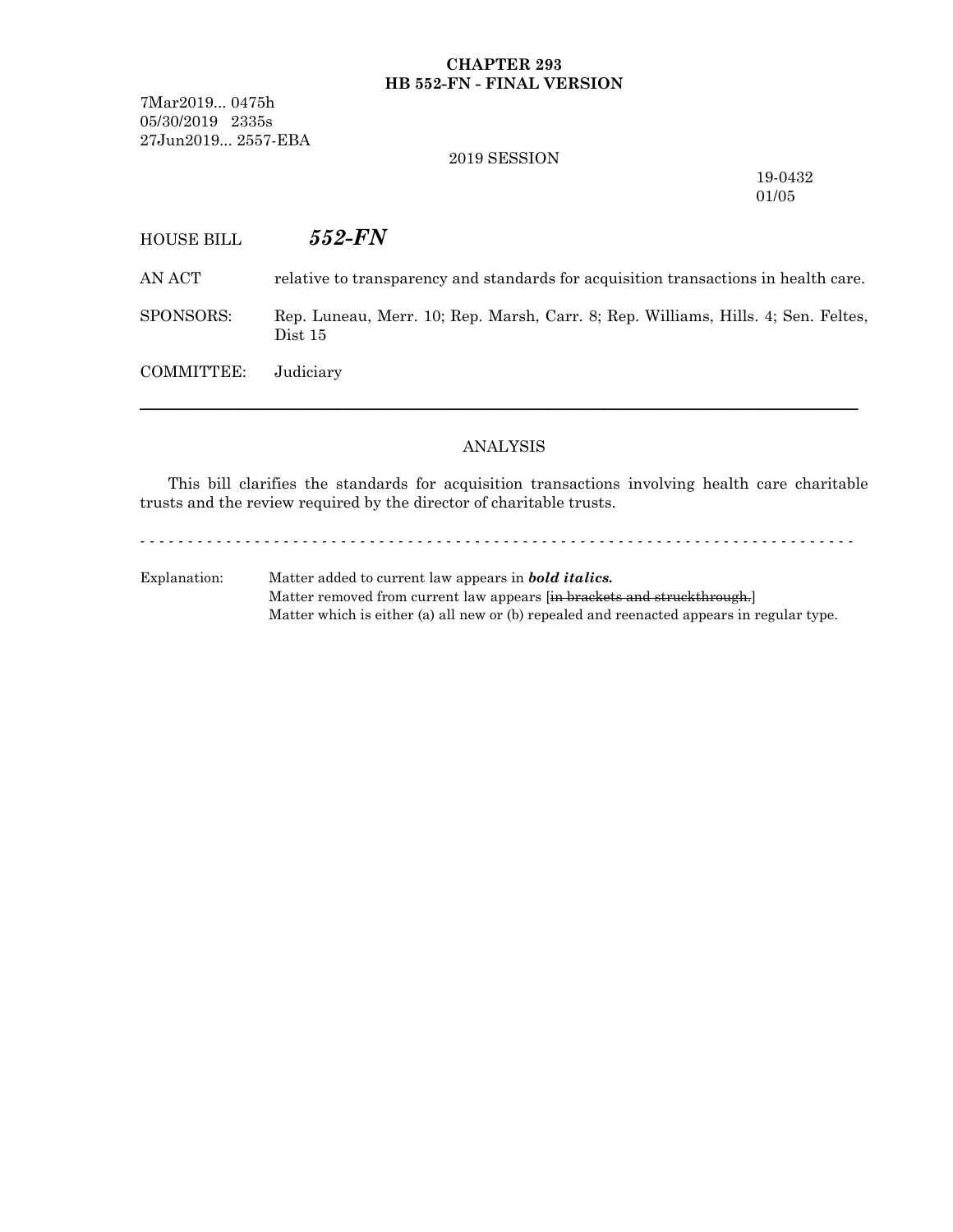### **CHAPTER 293 HB 552-FN - FINAL VERSION**

7Mar2019... 0475h 05/30/2019 2335s 27Jun2019... 2557-EBA

#### 2019 SESSION

19-0432 01/05

# HOUSE BILL *552-FN*

AN ACT relative to transparency and standards for acquisition transactions in health care.

SPONSORS: Rep. Luneau, Merr. 10; Rep. Marsh, Carr. 8; Rep. Williams, Hills. 4; Sen. Feltes, Dist 15

COMMITTEE: Judiciary

## ANALYSIS

─────────────────────────────────────────────────────────────────

This bill clarifies the standards for acquisition transactions involving health care charitable trusts and the review required by the director of charitable trusts.

- - - - - - - - - - - - - - - - - - - - - - - - - - - - - - - - - - - - - - - - - - - - - - - - - - - - - - - - - - - - - - - - - - - - - - - - - - -

Explanation: Matter added to current law appears in *bold italics.* Matter removed from current law appears [in brackets and struckthrough.] Matter which is either (a) all new or (b) repealed and reenacted appears in regular type.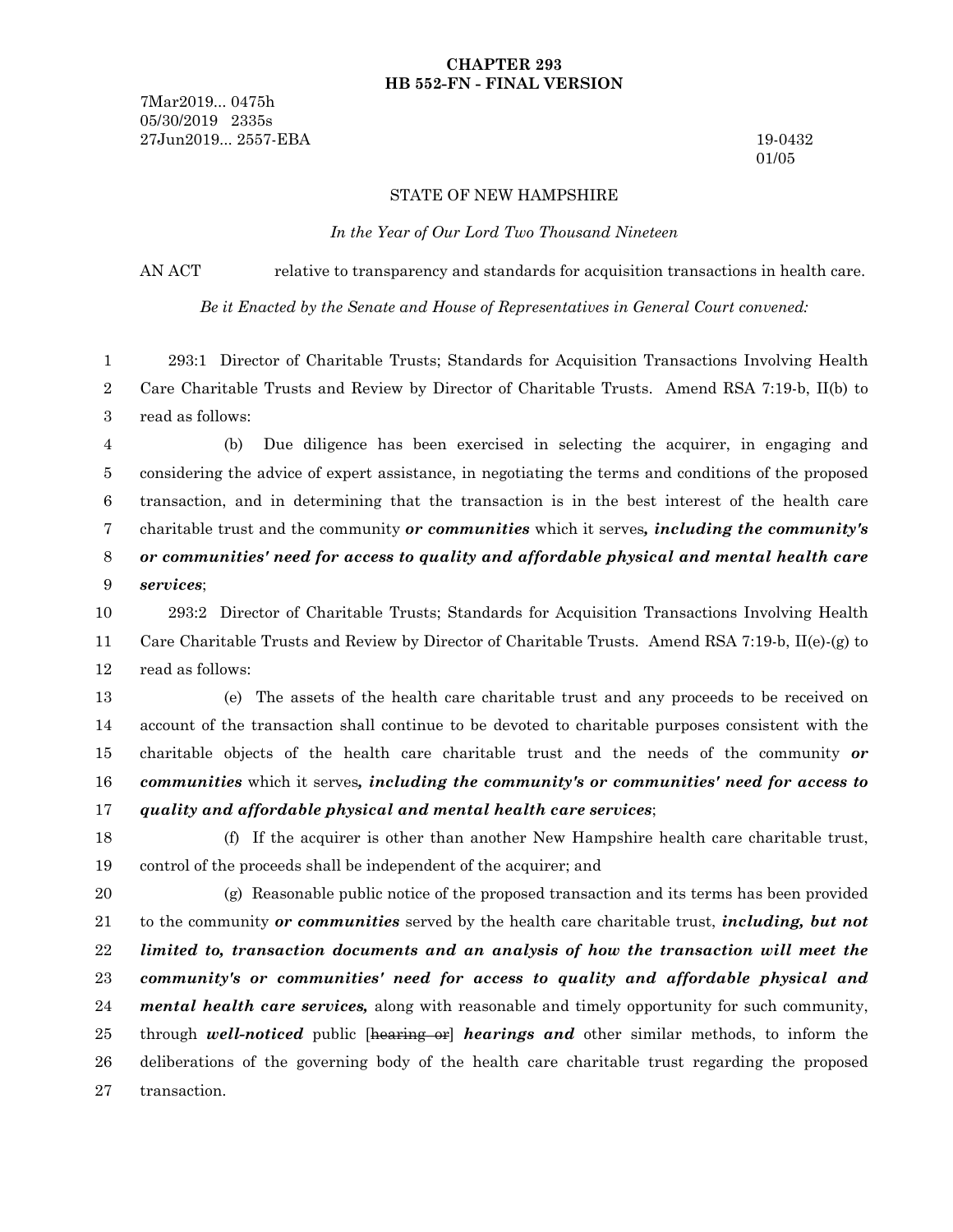#### **CHAPTER 293 HB 552-FN - FINAL VERSION**

7Mar2019... 0475h 05/30/2019 2335s 27Jun2019... 2557-EBA 19-0432

01/05

#### STATE OF NEW HAMPSHIRE

*In the Year of Our Lord Two Thousand Nineteen*

AN ACT relative to transparency and standards for acquisition transactions in health care.

*Be it Enacted by the Senate and House of Representatives in General Court convened:*

293:1 Director of Charitable Trusts; Standards for Acquisition Transactions Involving Health Care Charitable Trusts and Review by Director of Charitable Trusts. Amend RSA 7:19-b, II(b) to read as follows: 1 2 3

(b) Due diligence has been exercised in selecting the acquirer, in engaging and considering the advice of expert assistance, in negotiating the terms and conditions of the proposed transaction, and in determining that the transaction is in the best interest of the health care charitable trust and the community *or communities* which it serves*, including the community's or communities' need for access to quality and affordable physical and mental health care services*; 4 5 6 7 8 9

293:2 Director of Charitable Trusts; Standards for Acquisition Transactions Involving Health Care Charitable Trusts and Review by Director of Charitable Trusts. Amend RSA 7:19-b, II(e)-(g) to read as follows: 10 11 12

(e) The assets of the health care charitable trust and any proceeds to be received on account of the transaction shall continue to be devoted to charitable purposes consistent with the charitable objects of the health care charitable trust and the needs of the community *or communities* which it serves*, including the community's or communities' need for access to quality and affordable physical and mental health care services*; 13 14 15 16 17

(f) If the acquirer is other than another New Hampshire health care charitable trust, control of the proceeds shall be independent of the acquirer; and 18 19

(g) Reasonable public notice of the proposed transaction and its terms has been provided to the community *or communities* served by the health care charitable trust, *including, but not limited to, transaction documents and an analysis of how the transaction will meet the community's or communities' need for access to quality and affordable physical and mental health care services,* along with reasonable and timely opportunity for such community, through *well-noticed* public [hearing or] *hearings and* other similar methods, to inform the deliberations of the governing body of the health care charitable trust regarding the proposed transaction. 20 21 22 23 24 25 26 27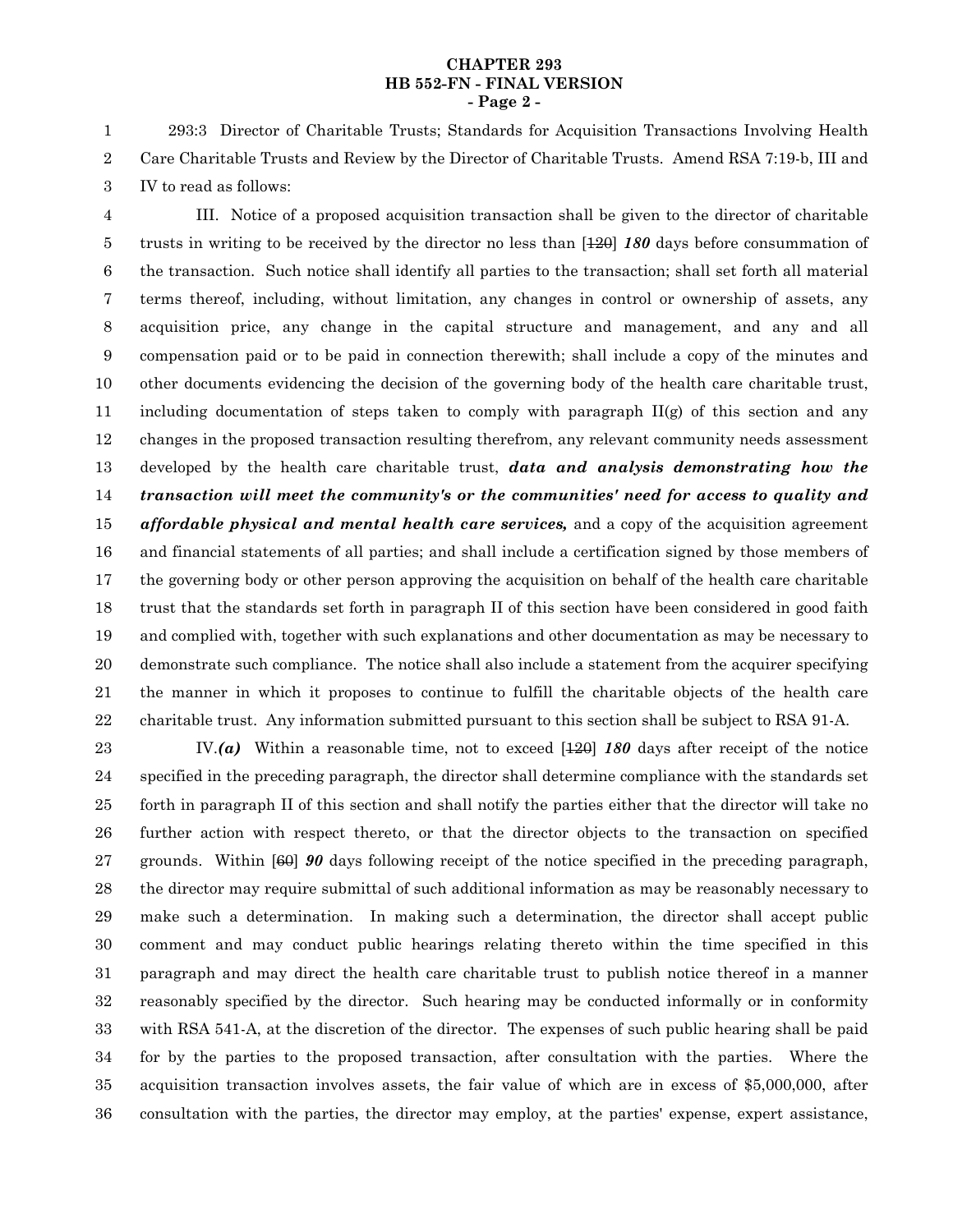#### **CHAPTER 293 HB 552-FN - FINAL VERSION - Page 2 -**

293:3 Director of Charitable Trusts; Standards for Acquisition Transactions Involving Health Care Charitable Trusts and Review by the Director of Charitable Trusts. Amend RSA 7:19-b, III and IV to read as follows: 1 2 3

III. Notice of a proposed acquisition transaction shall be given to the director of charitable trusts in writing to be received by the director no less than [120] *180* days before consummation of the transaction. Such notice shall identify all parties to the transaction; shall set forth all material terms thereof, including, without limitation, any changes in control or ownership of assets, any acquisition price, any change in the capital structure and management, and any and all compensation paid or to be paid in connection therewith; shall include a copy of the minutes and other documents evidencing the decision of the governing body of the health care charitable trust, including documentation of steps taken to comply with paragraph  $II(g)$  of this section and any changes in the proposed transaction resulting therefrom, any relevant community needs assessment developed by the health care charitable trust, *data and analysis demonstrating how the transaction will meet the community's or the communities' need for access to quality and affordable physical and mental health care services,* and a copy of the acquisition agreement and financial statements of all parties; and shall include a certification signed by those members of the governing body or other person approving the acquisition on behalf of the health care charitable trust that the standards set forth in paragraph II of this section have been considered in good faith and complied with, together with such explanations and other documentation as may be necessary to demonstrate such compliance. The notice shall also include a statement from the acquirer specifying the manner in which it proposes to continue to fulfill the charitable objects of the health care charitable trust. Any information submitted pursuant to this section shall be subject to RSA 91-A. 4 5 6 7 8 9 10 11 12 13 14 15 16 17 18 19 20 21 22

IV.*(a)* Within a reasonable time, not to exceed [120] *180* days after receipt of the notice specified in the preceding paragraph, the director shall determine compliance with the standards set forth in paragraph II of this section and shall notify the parties either that the director will take no further action with respect thereto, or that the director objects to the transaction on specified grounds. Within [60] *90* days following receipt of the notice specified in the preceding paragraph, the director may require submittal of such additional information as may be reasonably necessary to make such a determination. In making such a determination, the director shall accept public comment and may conduct public hearings relating thereto within the time specified in this paragraph and may direct the health care charitable trust to publish notice thereof in a manner reasonably specified by the director. Such hearing may be conducted informally or in conformity with RSA 541-A, at the discretion of the director. The expenses of such public hearing shall be paid for by the parties to the proposed transaction, after consultation with the parties. Where the acquisition transaction involves assets, the fair value of which are in excess of \$5,000,000, after consultation with the parties, the director may employ, at the parties' expense, expert assistance, 23 24 25 26 27 28 29 30 31 32 33 34 35 36